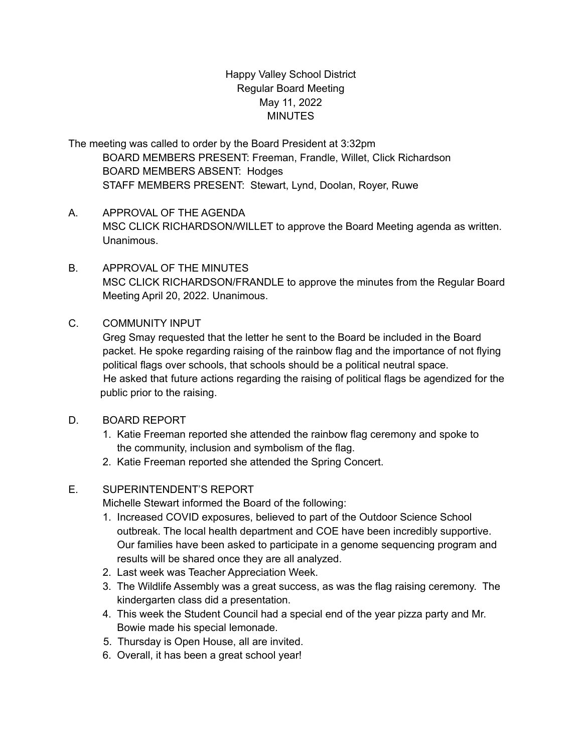# Happy Valley School District Regular Board Meeting May 11, 2022 **MINUTES**

The meeting was called to order by the Board President at 3:32pm BOARD MEMBERS PRESENT: Freeman, Frandle, Willet, Click Richardson BOARD MEMBERS ABSENT: Hodges STAFF MEMBERS PRESENT: Stewart, Lynd, Doolan, Royer, Ruwe

- A. APPROVAL OF THE AGENDA MSC CLICK RICHARDSON/WILLET to approve the Board Meeting agenda as written. Unanimous.
- B. APPROVAL OF THE MINUTES MSC CLICK RICHARDSON/FRANDLE to approve the minutes from the Regular Board Meeting April 20, 2022. Unanimous.

### C. COMMUNITY INPUT

Greg Smay requested that the letter he sent to the Board be included in the Board packet. He spoke regarding raising of the rainbow flag and the importance of not flying political flags over schools, that schools should be a political neutral space. He asked that future actions regarding the raising of political flags be agendized for the public prior to the raising.

- D. BOARD REPORT
	- 1. Katie Freeman reported she attended the rainbow flag ceremony and spoke to the community, inclusion and symbolism of the flag.
	- 2. Katie Freeman reported she attended the Spring Concert.

# E. SUPERINTENDENT'S REPORT

Michelle Stewart informed the Board of the following:

- 1. Increased COVID exposures, believed to part of the Outdoor Science School outbreak. The local health department and COE have been incredibly supportive. Our families have been asked to participate in a genome sequencing program and results will be shared once they are all analyzed.
- 2. Last week was Teacher Appreciation Week.
- 3. The Wildlife Assembly was a great success, as was the flag raising ceremony. The kindergarten class did a presentation.
- 4. This week the Student Council had a special end of the year pizza party and Mr. Bowie made his special lemonade.
- 5. Thursday is Open House, all are invited.
- 6. Overall, it has been a great school year!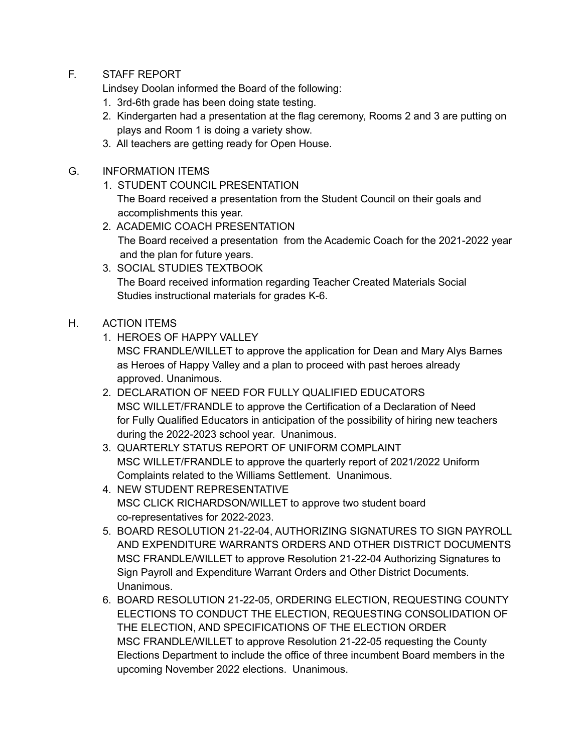F. STAFF REPORT

Lindsey Doolan informed the Board of the following:

- 1. 3rd-6th grade has been doing state testing.
- 2. Kindergarten had a presentation at the flag ceremony, Rooms 2 and 3 are putting on plays and Room 1 is doing a variety show.
- 3. All teachers are getting ready for Open House.

### G. INFORMATION ITEMS

- 1. STUDENT COUNCIL PRESENTATION The Board received a presentation from the Student Council on their goals and accomplishments this year.
- 2. ACADEMIC COACH PRESENTATION The Board received a presentation from the Academic Coach for the 2021-2022 year and the plan for future years.
- 3. SOCIAL STUDIES TEXTBOOK The Board received information regarding Teacher Created Materials Social Studies instructional materials for grades K-6.

### H. ACTION ITEMS

1. HEROES OF HAPPY VALLEY

MSC FRANDLE/WILLET to approve the application for Dean and Mary Alys Barnes as Heroes of Happy Valley and a plan to proceed with past heroes already approved. Unanimous.

- 2. DECLARATION OF NEED FOR FULLY QUALIFIED EDUCATORS MSC WILLET/FRANDLE to approve the Certification of a Declaration of Need for Fully Qualified Educators in anticipation of the possibility of hiring new teachers during the 2022-2023 school year. Unanimous.
- 3. QUARTERLY STATUS REPORT OF UNIFORM COMPLAINT MSC WILLET/FRANDLE to approve the quarterly report of 2021/2022 Uniform Complaints related to the Williams Settlement. Unanimous.
- 4. NEW STUDENT REPRESENTATIVE MSC CLICK RICHARDSON/WILLET to approve two student board co-representatives for 2022-2023.
- 5. BOARD RESOLUTION 21-22-04, AUTHORIZING SIGNATURES TO SIGN PAYROLL AND EXPENDITURE WARRANTS ORDERS AND OTHER DISTRICT DOCUMENTS MSC FRANDLE/WILLET to approve Resolution 21-22-04 Authorizing Signatures to Sign Payroll and Expenditure Warrant Orders and Other District Documents. Unanimous.
- 6. BOARD RESOLUTION 21-22-05, ORDERING ELECTION, REQUESTING COUNTY ELECTIONS TO CONDUCT THE ELECTION, REQUESTING CONSOLIDATION OF THE ELECTION, AND SPECIFICATIONS OF THE ELECTION ORDER MSC FRANDLE/WILLET to approve Resolution 21-22-05 requesting the County Elections Department to include the office of three incumbent Board members in the upcoming November 2022 elections. Unanimous.